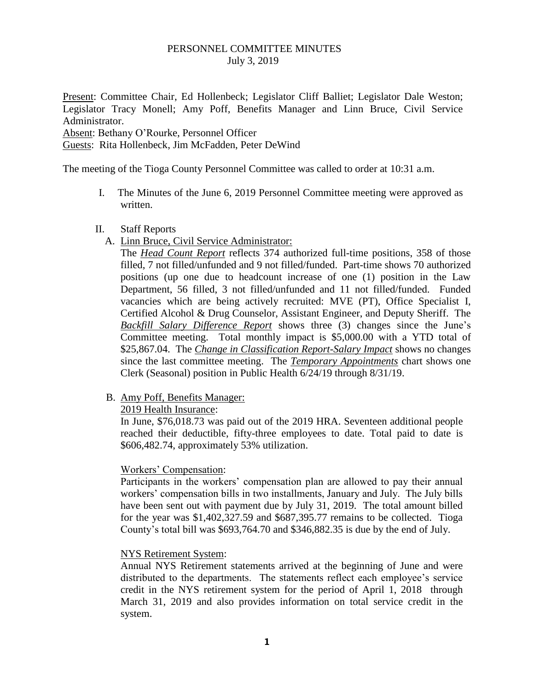### PERSONNEL COMMITTEE MINUTES July 3, 2019

Present: Committee Chair, Ed Hollenbeck; Legislator Cliff Balliet; Legislator Dale Weston; Legislator Tracy Monell; Amy Poff, Benefits Manager and Linn Bruce, Civil Service Administrator.

Absent: Bethany O'Rourke, Personnel Officer

Guests: Rita Hollenbeck, Jim McFadden, Peter DeWind

The meeting of the Tioga County Personnel Committee was called to order at 10:31 a.m.

I. The Minutes of the June 6, 2019 Personnel Committee meeting were approved as written.

#### II. Staff Reports

A. Linn Bruce, Civil Service Administrator:

The *Head Count Report* reflects 374 authorized full-time positions, 358 of those filled, 7 not filled/unfunded and 9 not filled/funded. Part-time shows 70 authorized positions (up one due to headcount increase of one (1) position in the Law Department, 56 filled, 3 not filled/unfunded and 11 not filled/funded. Funded vacancies which are being actively recruited: MVE (PT), Office Specialist I, Certified Alcohol & Drug Counselor, Assistant Engineer, and Deputy Sheriff. The *Backfill Salary Difference Report* shows three (3) changes since the June's Committee meeting. Total monthly impact is \$5,000.00 with a YTD total of \$25,867.04. The *Change in Classification Report-Salary Impact* shows no changes since the last committee meeting. The *Temporary Appointments* chart shows one Clerk (Seasonal) position in Public Health 6/24/19 through 8/31/19.

B. Amy Poff, Benefits Manager:

2019 Health Insurance:

In June, \$76,018.73 was paid out of the 2019 HRA. Seventeen additional people reached their deductible, fifty-three employees to date. Total paid to date is \$606,482.74, approximately 53% utilization.

#### Workers' Compensation:

Participants in the workers' compensation plan are allowed to pay their annual workers' compensation bills in two installments, January and July. The July bills have been sent out with payment due by July 31, 2019. The total amount billed for the year was \$1,402,327.59 and \$687,395.77 remains to be collected. Tioga County's total bill was \$693,764.70 and \$346,882.35 is due by the end of July.

#### NYS Retirement System:

Annual NYS Retirement statements arrived at the beginning of June and were distributed to the departments. The statements reflect each employee's service credit in the NYS retirement system for the period of April 1, 2018 through March 31, 2019 and also provides information on total service credit in the system.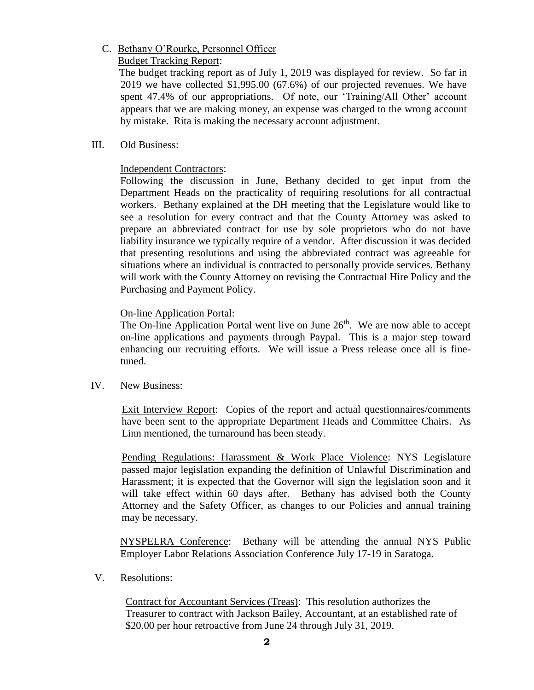# C. Bethany O'Rourke, Personnel Officer

### Budget Tracking Report:

 The budget tracking report as of July 1, 2019 was displayed for review. So far in 2019 we have collected \$1,995.00 (67.6%) of our projected revenues. We have spent 47.4% of our appropriations. Of note, our 'Training/All Other' account appears that we are making money, an expense was charged to the wrong account by mistake. Rita is making the necessary account adjustment.

# III. Old Business:

# Independent Contractors:

Following the discussion in June, Bethany decided to get input from the Department Heads on the practicality of requiring resolutions for all contractual workers. Bethany explained at the DH meeting that the Legislature would like to see a resolution for every contract and that the County Attorney was asked to prepare an abbreviated contract for use by sole proprietors who do not have liability insurance we typically require of a vendor. After discussion it was decided that presenting resolutions and using the abbreviated contract was agreeable for situations where an individual is contracted to personally provide services. Bethany will work with the County Attorney on revising the Contractual Hire Policy and the Purchasing and Payment Policy.

### On-line Application Portal:

The On-line Application Portal went live on June  $26<sup>th</sup>$ . We are now able to accept on-line applications and payments through Paypal. This is a major step toward enhancing our recruiting efforts. We will issue a Press release once all is finetuned.

IV. New Business:

Exit Interview Report: Copies of the report and actual questionnaires/comments have been sent to the appropriate Department Heads and Committee Chairs. As Linn mentioned, the turnaround has been steady.

Pending Regulations: Harassment & Work Place Violence: NYS Legislature passed major legislation expanding the definition of Unlawful Discrimination and Harassment; it is expected that the Governor will sign the legislation soon and it will take effect within 60 days after. Bethany has advised both the County Attorney and the Safety Officer, as changes to our Policies and annual training may be necessary.

NYSPELRA Conference: Bethany will be attending the annual NYS Public Employer Labor Relations Association Conference July 17-19 in Saratoga.

V. Resolutions:

Contract for Accountant Services (Treas): This resolution authorizes the Treasurer to contract with Jackson Bailey, Accountant, at an established rate of \$20.00 per hour retroactive from June 24 through July 31, 2019.